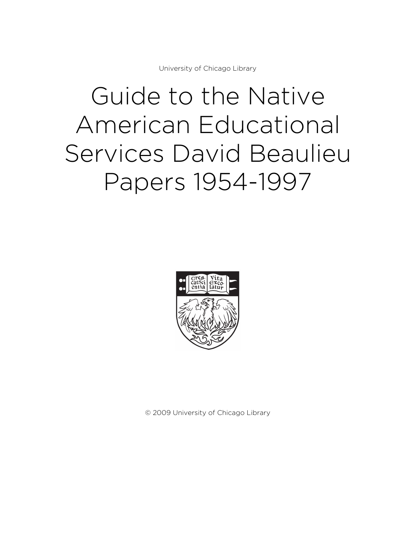University of Chicago Library

# Guide to the Native American Educational Services David Beaulieu Papers 1954-1997



© 2009 University of Chicago Library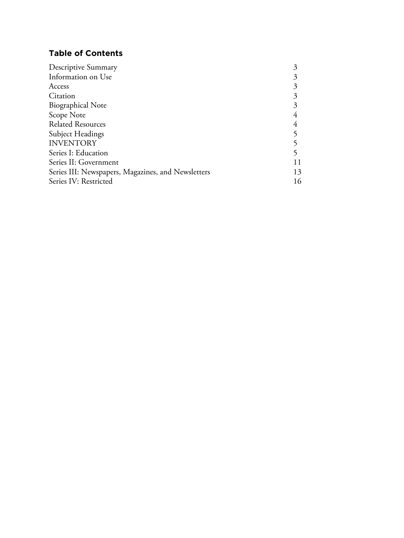# **Table of Contents**

| Descriptive Summary                                |    |
|----------------------------------------------------|----|
| Information on Use                                 |    |
| Access                                             |    |
| Citation                                           |    |
| <b>Biographical Note</b>                           |    |
| Scope Note                                         |    |
| <b>Related Resources</b>                           |    |
| Subject Headings                                   |    |
| <b>INVENTORY</b>                                   |    |
| Series I: Education                                |    |
| Series II: Government                              |    |
| Series III: Newspapers, Magazines, and Newsletters | 13 |
| Series IV: Restricted                              |    |
|                                                    |    |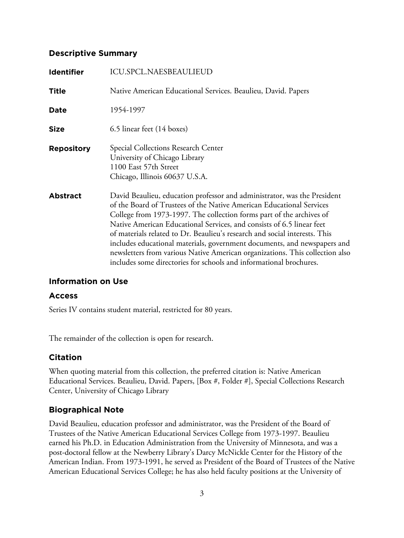# **Descriptive Summary**

| <b>Identifier</b> | <b>ICU.SPCL.NAESBEAULIEUD</b>                                                                                                                                                                                                                                                                                                                                                                                                                                                                                                                                                                                     |
|-------------------|-------------------------------------------------------------------------------------------------------------------------------------------------------------------------------------------------------------------------------------------------------------------------------------------------------------------------------------------------------------------------------------------------------------------------------------------------------------------------------------------------------------------------------------------------------------------------------------------------------------------|
| <b>Title</b>      | Native American Educational Services. Beaulieu, David. Papers                                                                                                                                                                                                                                                                                                                                                                                                                                                                                                                                                     |
| Date              | 1954-1997                                                                                                                                                                                                                                                                                                                                                                                                                                                                                                                                                                                                         |
| <b>Size</b>       | 6.5 linear feet (14 boxes)                                                                                                                                                                                                                                                                                                                                                                                                                                                                                                                                                                                        |
| <b>Repository</b> | <b>Special Collections Research Center</b><br>University of Chicago Library<br>1100 East 57th Street<br>Chicago, Illinois 60637 U.S.A.                                                                                                                                                                                                                                                                                                                                                                                                                                                                            |
| <b>Abstract</b>   | David Beaulieu, education professor and administrator, was the President<br>of the Board of Trustees of the Native American Educational Services<br>College from 1973-1997. The collection forms part of the archives of<br>Native American Educational Services, and consists of 6.5 linear feet<br>of materials related to Dr. Beaulieu's research and social interests. This<br>includes educational materials, government documents, and newspapers and<br>newsletters from various Native American organizations. This collection also<br>includes some directories for schools and informational brochures. |

# **Information on Use**

# **Access**

Series IV contains student material, restricted for 80 years.

The remainder of the collection is open for research.

# **Citation**

When quoting material from this collection, the preferred citation is: Native American Educational Services. Beaulieu, David. Papers, [Box #, Folder #], Special Collections Research Center, University of Chicago Library

# **Biographical Note**

David Beaulieu, education professor and administrator, was the President of the Board of Trustees of the Native American Educational Services College from 1973-1997. Beaulieu earned his Ph.D. in Education Administration from the University of Minnesota, and was a post-doctoral fellow at the Newberry Library's Darcy McNickle Center for the History of the American Indian. From 1973-1991, he served as President of the Board of Trustees of the Native American Educational Services College; he has also held faculty positions at the University of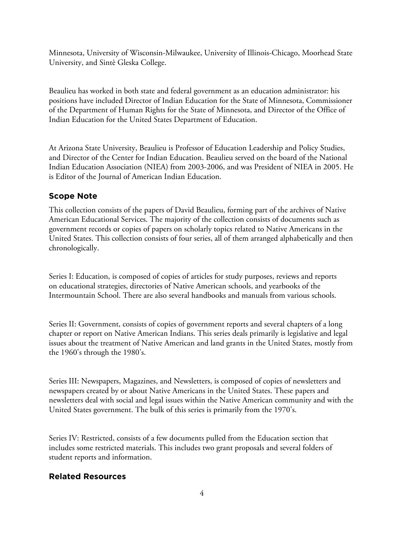Minnesota, University of Wisconsin-Milwaukee, University of Illinois-Chicago, Moorhead State University, and Sintè Gleska College.

Beaulieu has worked in both state and federal government as an education administrator: his positions have included Director of Indian Education for the State of Minnesota, Commissioner of the Department of Human Rights for the State of Minnesota, and Director of the Office of Indian Education for the United States Department of Education.

At Arizona State University, Beaulieu is Professor of Education Leadership and Policy Studies, and Director of the Center for Indian Education. Beaulieu served on the board of the National Indian Education Association (NIEA) from 2003-2006, and was President of NIEA in 2005. He is Editor of the Journal of American Indian Education.

# **Scope Note**

This collection consists of the papers of David Beaulieu, forming part of the archives of Native American Educational Services. The majority of the collection consists of documents such as government records or copies of papers on scholarly topics related to Native Americans in the United States. This collection consists of four series, all of them arranged alphabetically and then chronologically.

Series I: Education, is composed of copies of articles for study purposes, reviews and reports on educational strategies, directories of Native American schools, and yearbooks of the Intermountain School. There are also several handbooks and manuals from various schools.

Series II: Government, consists of copies of government reports and several chapters of a long chapter or report on Native American Indians. This series deals primarily is legislative and legal issues about the treatment of Native American and land grants in the United States, mostly from the 1960's through the 1980's.

Series III: Newspapers, Magazines, and Newsletters, is composed of copies of newsletters and newspapers created by or about Native Americans in the United States. These papers and newsletters deal with social and legal issues within the Native American community and with the United States government. The bulk of this series is primarily from the 1970's.

Series IV: Restricted, consists of a few documents pulled from the Education section that includes some restricted materials. This includes two grant proposals and several folders of student reports and information.

# **Related Resources**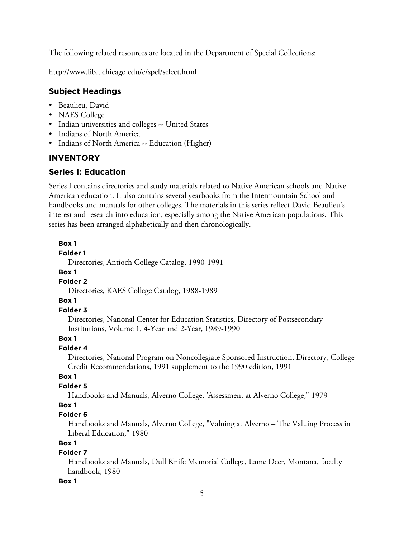The following related resources are located in the Department of Special Collections:

http://www.lib.uchicago.edu/e/spcl/select.html

# **Subject Headings**

- Beaulieu, David
- NAES College
- Indian universities and colleges -- United States
- Indians of North America
- Indians of North America -- Education (Higher)

# **INVENTORY**

# **Series I: Education**

Series I contains directories and study materials related to Native American schools and Native American education. It also contains several yearbooks from the Intermountain School and handbooks and manuals for other colleges. The materials in this series reflect David Beaulieu's interest and research into education, especially among the Native American populations. This series has been arranged alphabetically and then chronologically.

# **Box 1**

### **Folder 1**

Directories, Antioch College Catalog, 1990-1991

### **Box 1**

### **Folder 2**

Directories, KAES College Catalog, 1988-1989

### **Box 1**

# **Folder 3**

Directories, National Center for Education Statistics, Directory of Postsecondary Institutions, Volume 1, 4-Year and 2-Year, 1989-1990

### **Box 1**

# **Folder 4**

Directories, National Program on Noncollegiate Sponsored Instruction, Directory, College Credit Recommendations, 1991 supplement to the 1990 edition, 1991

# **Box 1**

# **Folder 5**

Handbooks and Manuals, Alverno College, 'Assessment at Alverno College," 1979

# **Box 1**

# **Folder 6**

Handbooks and Manuals, Alverno College, "Valuing at Alverno – The Valuing Process in Liberal Education," 1980

# **Box 1**

# **Folder 7**

Handbooks and Manuals, Dull Knife Memorial College, Lame Deer, Montana, faculty handbook, 1980

### **Box 1**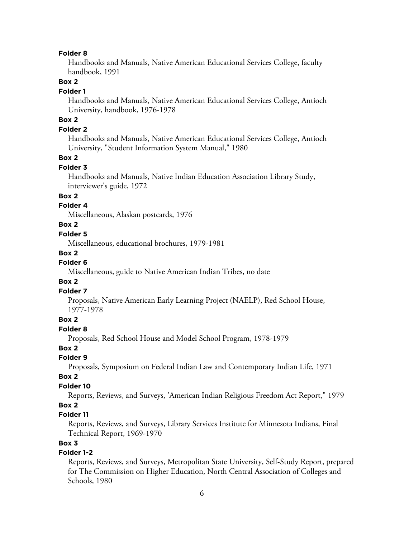#### **Folder 8**

Handbooks and Manuals, Native American Educational Services College, faculty handbook, 1991

# **Box 2**

### **Folder 1**

Handbooks and Manuals, Native American Educational Services College, Antioch University, handbook, 1976-1978

# **Box 2**

# **Folder 2**

Handbooks and Manuals, Native American Educational Services College, Antioch University, "Student Information System Manual," 1980

### **Box 2**

#### **Folder 3**

Handbooks and Manuals, Native Indian Education Association Library Study, interviewer's guide, 1972

# **Box 2**

# **Folder 4**

Miscellaneous, Alaskan postcards, 1976

### **Box 2**

### **Folder 5**

Miscellaneous, educational brochures, 1979-1981

#### **Box 2**

# **Folder 6**

Miscellaneous, guide to Native American Indian Tribes, no date

### **Box 2**

# **Folder 7**

Proposals, Native American Early Learning Project (NAELP), Red School House, 1977-1978

### **Box 2**

### **Folder 8**

Proposals, Red School House and Model School Program, 1978-1979

### **Box 2**

# **Folder 9**

Proposals, Symposium on Federal Indian Law and Contemporary Indian Life, 1971

#### **Box 2**

### **Folder 10**

Reports, Reviews, and Surveys, 'American Indian Religious Freedom Act Report," 1979

# **Box 2**

### **Folder 11**

Reports, Reviews, and Surveys, Library Services Institute for Minnesota Indians, Final Technical Report, 1969-1970

### **Box 3**

### **Folder 1-2**

Reports, Reviews, and Surveys, Metropolitan State University, Self-Study Report, prepared for The Commission on Higher Education, North Central Association of Colleges and Schools, 1980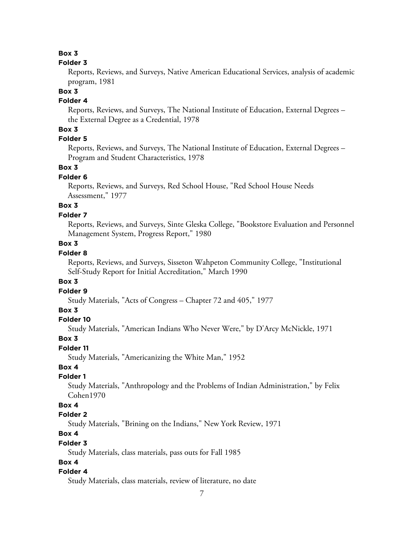# **Box 3**

### **Folder 3**

Reports, Reviews, and Surveys, Native American Educational Services, analysis of academic program, 1981

### **Box 3**

# **Folder 4**

Reports, Reviews, and Surveys, The National Institute of Education, External Degrees – the External Degree as a Credential, 1978

# **Box 3**

# **Folder 5**

Reports, Reviews, and Surveys, The National Institute of Education, External Degrees – Program and Student Characteristics, 1978

### **Box 3**

### **Folder 6**

Reports, Reviews, and Surveys, Red School House, "Red School House Needs Assessment," 1977

# **Box 3**

### **Folder 7**

Reports, Reviews, and Surveys, Sinte Gleska College, "Bookstore Evaluation and Personnel Management System, Progress Report," 1980

### **Box 3**

# **Folder 8**

Reports, Reviews, and Surveys, Sisseton Wahpeton Community College, "Institutional Self-Study Report for Initial Accreditation," March 1990

# **Box 3**

**Folder 9**

Study Materials, "Acts of Congress – Chapter 72 and 405," 1977

# **Box 3**

### **Folder 10**

Study Materials, "American Indians Who Never Were," by D'Arcy McNickle, 1971

### **Box 3**

# **Folder 11**

Study Materials, "Americanizing the White Man," 1952

# **Box 4**

# **Folder 1**

Study Materials, "Anthropology and the Problems of Indian Administration," by Felix Cohen1970

### **Box 4**

# **Folder 2**

Study Materials, "Brining on the Indians," New York Review, 1971

# **Box 4**

### **Folder 3**

Study Materials, class materials, pass outs for Fall 1985

# **Box 4**

# **Folder 4**

Study Materials, class materials, review of literature, no date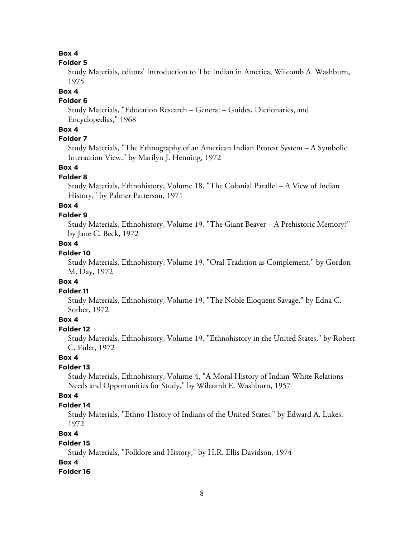# **Box 4**

### **Folder 5**

Study Materials, editors' Introduction to The Indian in America, Wilcomb A. Washburn, 1975

### **Box 4**

# **Folder 6**

Study Materials, "Education Research – General – Guides, Dictionaries, and Encyclopedias," 1968

# **Box 4**

# **Folder 7**

Study Materials, "The Ethnography of an American Indian Protest System – A Symbolic Interaction View," by Marilyn J. Henning, 1972

# **Box 4**

# **Folder 8**

Study Materials, Ethnohistory, Volume 18, "The Colonial Parallel – A View of Indian History," by Palmer Patterson, 1971

# **Box 4**

# **Folder 9**

Study Materials, Ethnohistory, Volume 19, "The Giant Beaver – A Prehistoric Memory?" by Jane C. Beck, 1972

# **Box 4**

### **Folder 10**

Study Materials, Ethnohistory, Volume 19, "Oral Tradition as Complement," by Gordon M. Day, 1972

### **Box 4**

# **Folder 11**

Study Materials, Ethnohistory, Volume 19, "The Noble Eloquent Savage," by Edna C. Sorber, 1972

# **Box 4**

# **Folder 12**

Study Materials, Ethnohistory, Volume 19, "Ethnohistory in the United States," by Robert C. Euler, 1972

# **Box 4**

# **Folder 13**

Study Materials, Ethnohistory, Volume 4, "A Moral History of Indian-White Relations – Needs and Opportunities for Study," by Wilcomb E. Washburn, 1957

# **Box 4**

# **Folder 14**

Study Materials, "Ethno-History of Indians of the United States," by Edward A. Lukes, 1972

# **Box 4**

# **Folder 15**

Study Materials, "Folklore and History," by H.R. Ellis Davidson, 1974

# **Box 4**

# **Folder 16**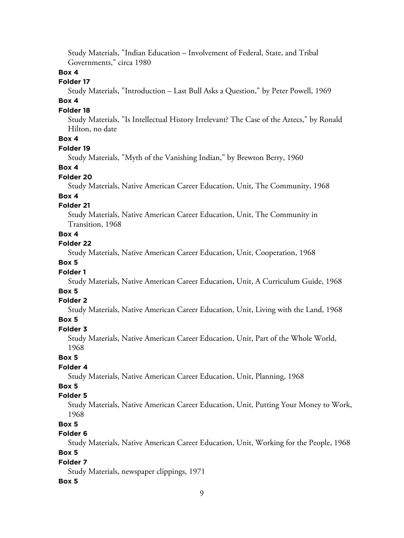Study Materials, "Indian Education – Involvement of Federal, State, and Tribal Governments," circa 1980

# **Box 4**

# **Folder 17**

Study Materials, "Introduction – Last Bull Asks a Question," by Peter Powell, 1969

# **Box 4**

**Folder 18**

Study Materials, "Is Intellectual History Irrelevant? The Case of the Aztecs," by Ronald Hilton, no date

# **Box 4**

# **Folder 19**

Study Materials, "Myth of the Vanishing Indian," by Brewton Berry, 1960

#### **Box 4**

### **Folder 20**

Study Materials, Native American Career Education, Unit, The Community, 1968

### **Box 4**

### **Folder 21**

Study Materials, Native American Career Education, Unit, The Community in Transition, 1968

# **Box 4**

**Folder 22**

Study Materials, Native American Career Education, Unit, Cooperation, 1968

# **Box 5**

### **Folder 1**

Study Materials, Native American Career Education, Unit, A Curriculum Guide, 1968

# **Box 5**

### **Folder 2**

Study Materials, Native American Career Education, Unit, Living with the Land, 1968

# **Box 5**

**Folder 3** Study Materials, Native American Career Education, Unit, Part of the Whole World, 1968

# **Box 5**

# **Folder 4**

Study Materials, Native American Career Education, Unit, Planning, 1968

# **Box 5**

# **Folder 5**

Study Materials, Native American Career Education, Unit, Putting Your Money to Work, 1968

# **Box 5**

# **Folder 6**

Study Materials, Native American Career Education, Unit, Working for the People, 1968 **Box 5**

# **Folder 7**

Study Materials, newspaper clippings, 1971

# **Box 5**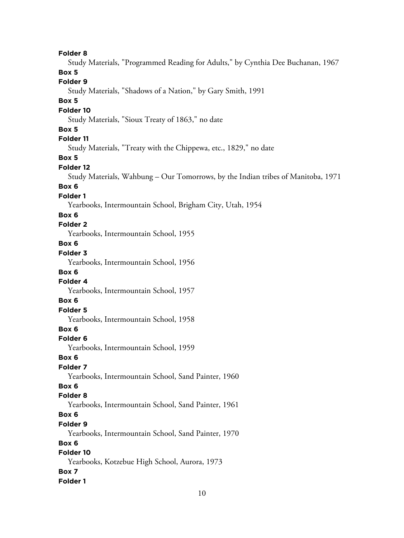**Folder 8** Study Materials, "Programmed Reading for Adults," by Cynthia Dee Buchanan, 1967 **Box 5 Folder 9** Study Materials, "Shadows of a Nation," by Gary Smith, 1991 **Box 5 Folder 10** Study Materials, "Sioux Treaty of 1863," no date **Box 5 Folder 11** Study Materials, "Treaty with the Chippewa, etc., 1829," no date **Box 5 Folder 12** Study Materials, Wahbung – Our Tomorrows, by the Indian tribes of Manitoba, 1971 **Box 6 Folder 1** Yearbooks, Intermountain School, Brigham City, Utah, 1954 **Box 6 Folder 2** Yearbooks, Intermountain School, 1955 **Box 6 Folder 3** Yearbooks, Intermountain School, 1956 **Box 6 Folder 4** Yearbooks, Intermountain School, 1957 **Box 6 Folder 5** Yearbooks, Intermountain School, 1958 **Box 6 Folder 6** Yearbooks, Intermountain School, 1959 **Box 6 Folder 7** Yearbooks, Intermountain School, Sand Painter, 1960 **Box 6 Folder 8** Yearbooks, Intermountain School, Sand Painter, 1961 **Box 6 Folder 9** Yearbooks, Intermountain School, Sand Painter, 1970 **Box 6 Folder 10** Yearbooks, Kotzebue High School, Aurora, 1973 **Box 7 Folder 1**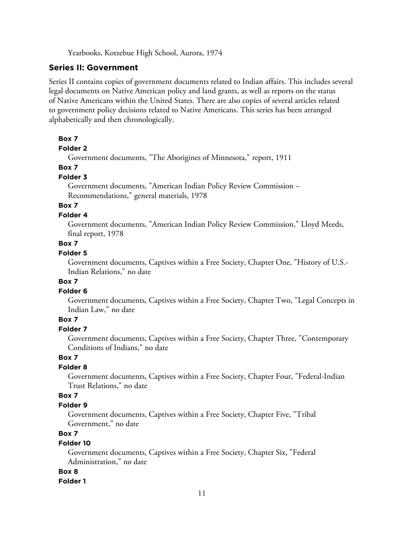Yearbooks, Kotzebue High School, Aurora, 1974

# **Series II: Government**

Series II contains copies of government documents related to Indian affairs. This includes several legal documents on Native American policy and land grants, as well as reports on the status of Native Americans within the United States. There are also copies of several articles related to government policy decisions related to Native Americans. This series has been arranged alphabetically and then chronologically.

### **Box 7**

#### **Folder 2**

Government documents, "The Aborigines of Minnesota," report, 1911

### **Box 7**

### **Folder 3**

Government documents, "American Indian Policy Review Commission – Recommendations," general materials, 1978

# **Box 7**

#### **Folder 4**

Government documents, "American Indian Policy Review Commission," Lloyd Meeds, final report, 1978

# **Box 7**

# **Folder 5**

Government documents, Captives within a Free Society, Chapter One, "History of U.S.- Indian Relations," no date

### **Box 7**

### **Folder 6**

Government documents, Captives within a Free Society, Chapter Two, "Legal Concepts in Indian Law," no date

# **Box 7**

# **Folder 7**

Government documents, Captives within a Free Society, Chapter Three, "Contemporary Conditions of Indians," no date

# **Box 7**

### **Folder 8**

Government documents, Captives within a Free Society, Chapter Four, "Federal-Indian Trust Relations," no date

# **Box 7**

#### **Folder 9**

Government documents, Captives within a Free Society, Chapter Five, "Tribal Government," no date

# **Box 7**

#### **Folder 10**

Government documents, Captives within a Free Society, Chapter Six, "Federal Administration," no date

### **Box 8**

#### **Folder 1**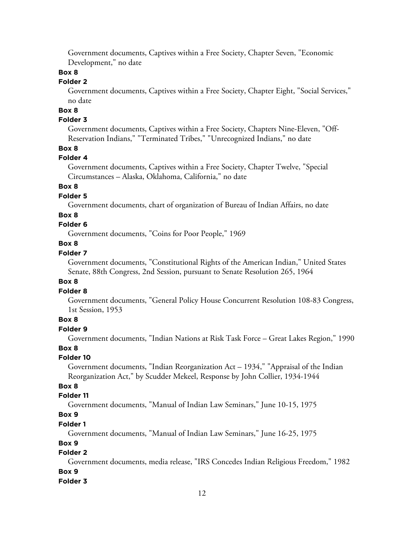Government documents, Captives within a Free Society, Chapter Seven, "Economic Development," no date

### **Box 8**

### **Folder 2**

Government documents, Captives within a Free Society, Chapter Eight, "Social Services," no date

# **Box 8**

# **Folder 3**

Government documents, Captives within a Free Society, Chapters Nine-Eleven, "Off-Reservation Indians," "Terminated Tribes," "Unrecognized Indians," no date

# **Box 8**

### **Folder 4**

Government documents, Captives within a Free Society, Chapter Twelve, "Special Circumstances – Alaska, Oklahoma, California," no date

### **Box 8**

#### **Folder 5**

Government documents, chart of organization of Bureau of Indian Affairs, no date

### **Box 8**

# **Folder 6**

Government documents, "Coins for Poor People," 1969

# **Box 8**

# **Folder 7**

Government documents, "Constitutional Rights of the American Indian," United States Senate, 88th Congress, 2nd Session, pursuant to Senate Resolution 265, 1964

### **Box 8**

### **Folder 8**

Government documents, "General Policy House Concurrent Resolution 108-83 Congress, 1st Session, 1953

### **Box 8**

# **Folder 9**

Government documents, "Indian Nations at Risk Task Force – Great Lakes Region," 1990

#### **Box 8**

#### **Folder 10**

Government documents, "Indian Reorganization Act – 1934," "Appraisal of the Indian Reorganization Act," by Scudder Mekeel, Response by John Collier, 1934-1944

# **Box 8**

# **Folder 11**

Government documents, "Manual of Indian Law Seminars," June 10-15, 1975

# **Box 9**

### **Folder 1**

Government documents, "Manual of Indian Law Seminars," June 16-25, 1975

# **Box 9**

# **Folder 2**

Government documents, media release, "IRS Concedes Indian Religious Freedom," 1982

### **Box 9**

#### **Folder 3**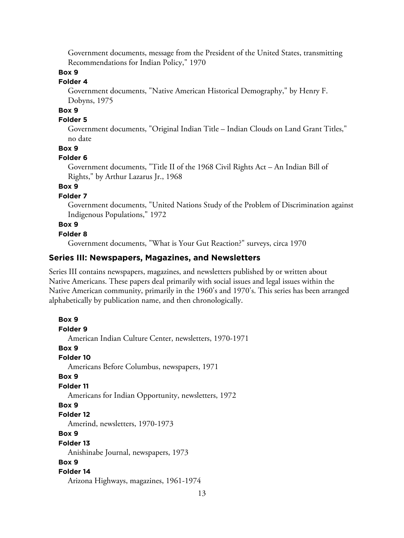Government documents, message from the President of the United States, transmitting Recommendations for Indian Policy," 1970

# **Box 9**

# **Folder 4**

Government documents, "Native American Historical Demography," by Henry F. Dobyns, 1975

# **Box 9**

# **Folder 5**

Government documents, "Original Indian Title – Indian Clouds on Land Grant Titles," no date

### **Box 9**

### **Folder 6**

Government documents, "Title II of the 1968 Civil Rights Act – An Indian Bill of Rights," by Arthur Lazarus Jr., 1968

# **Box 9**

### **Folder 7**

Government documents, "United Nations Study of the Problem of Discrimination against Indigenous Populations," 1972

# **Box 9**

### **Folder 8**

Government documents, "What is Your Gut Reaction?" surveys, circa 1970

# **Series III: Newspapers, Magazines, and Newsletters**

Series III contains newspapers, magazines, and newsletters published by or written about Native Americans. These papers deal primarily with social issues and legal issues within the Native American community, primarily in the 1960's and 1970's. This series has been arranged alphabetically by publication name, and then chronologically.

**Box 9 Folder 9** American Indian Culture Center, newsletters, 1970-1971 **Box 9 Folder 10** Americans Before Columbus, newspapers, 1971 **Box 9 Folder 11** Americans for Indian Opportunity, newsletters, 1972 **Box 9 Folder 12** Amerind, newsletters, 1970-1973 **Box 9 Folder 13** Anishinabe Journal, newspapers, 1973 **Box 9 Folder 14** Arizona Highways, magazines, 1961-1974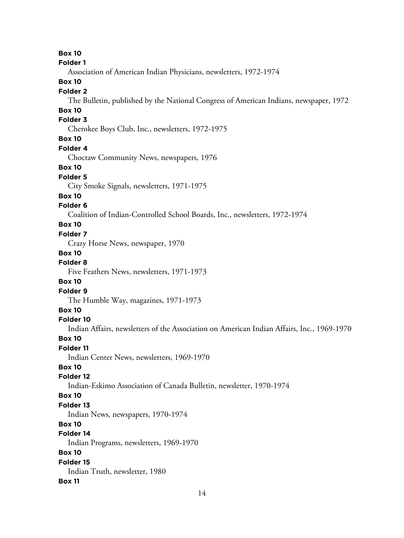**Box 10 Folder 1** Association of American Indian Physicians, newsletters, 1972-1974 **Box 10 Folder 2** The Bulletin, published by the National Congress of American Indians, newspaper, 1972 **Box 10 Folder 3** Cherokee Boys Club, Inc., newsletters, 1972-1975 **Box 10 Folder 4** Choctaw Community News, newspapers, 1976 **Box 10 Folder 5** City Smoke Signals, newsletters, 1971-1975 **Box 10 Folder 6** Coalition of Indian-Controlled School Boards, Inc., newsletters, 1972-1974 **Box 10 Folder 7** Crazy Horse News, newspaper, 1970 **Box 10 Folder 8** Five Feathers News, newsletters, 1971-1973 **Box 10 Folder 9** The Humble Way, magazines, 1971-1973 **Box 10 Folder 10** Indian Affairs, newsletters of the Association on American Indian Affairs, Inc., 1969-1970 **Box 10 Folder 11** Indian Center News, newsletters, 1969-1970 **Box 10 Folder 12** Indian-Eskimo Association of Canada Bulletin, newsletter, 1970-1974 **Box 10 Folder 13** Indian News, newspapers, 1970-1974 **Box 10 Folder 14** Indian Programs, newsletters, 1969-1970 **Box 10 Folder 15** Indian Truth, newsletter, 1980 **Box 11**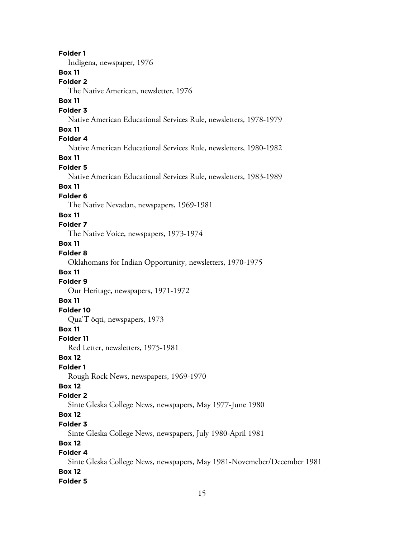**Folder 1** Indigena, newspaper, 1976 **Box 11 Folder 2** The Native American, newsletter, 1976 **Box 11 Folder 3** Native American Educational Services Rule, newsletters, 1978-1979 **Box 11 Folder 4** Native American Educational Services Rule, newsletters, 1980-1982 **Box 11 Folder 5** Native American Educational Services Rule, newsletters, 1983-1989 **Box 11 Folder 6** The Native Nevadan, newspapers, 1969-1981 **Box 11 Folder 7** The Native Voice, newspapers, 1973-1974 **Box 11 Folder 8** Oklahomans for Indian Opportunity, newsletters, 1970-1975 **Box 11 Folder 9** Our Heritage, newspapers, 1971-1972 **Box 11 Folder 10** Qua'T öqti, newspapers, 1973 **Box 11 Folder 11** Red Letter, newsletters, 1975-1981 **Box 12 Folder 1** Rough Rock News, newspapers, 1969-1970 **Box 12 Folder 2** Sinte Gleska College News, newspapers, May 1977-June 1980 **Box 12 Folder 3** Sinte Gleska College News, newspapers, July 1980-April 1981 **Box 12 Folder 4** Sinte Gleska College News, newspapers, May 1981-Novemeber/December 1981 **Box 12 Folder 5**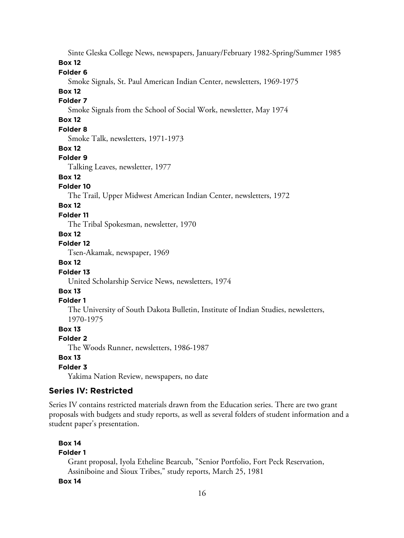Sinte Gleska College News, newspapers, January/February 1982-Spring/Summer 1985

### **Box 12**

### **Folder 6**

Smoke Signals, St. Paul American Indian Center, newsletters, 1969-1975

### **Box 12**

# **Folder 7**

Smoke Signals from the School of Social Work, newsletter, May 1974

# **Box 12**

# **Folder 8**

Smoke Talk, newsletters, 1971-1973

### **Box 12**

### **Folder 9**

Talking Leaves, newsletter, 1977

### **Box 12**

### **Folder 10**

The Trail, Upper Midwest American Indian Center, newsletters, 1972

### **Box 12**

### **Folder 11**

The Tribal Spokesman, newsletter, 1970

### **Box 12**

# **Folder 12**

Tsen-Akamak, newspaper, 1969

# **Box 12**

### **Folder 13**

United Scholarship Service News, newsletters, 1974

# **Box 13**

### **Folder 1**

The University of South Dakota Bulletin, Institute of Indian Studies, newsletters, 1970-1975

# **Box 13**

### **Folder 2**

The Woods Runner, newsletters, 1986-1987

# **Box 13**

### **Folder 3**

Yakima Nation Review, newspapers, no date

# **Series IV: Restricted**

Series IV contains restricted materials drawn from the Education series. There are two grant proposals with budgets and study reports, as well as several folders of student information and a student paper's presentation.

# **Box 14**

# **Folder 1**

Grant proposal, Iyola Etheline Bearcub, "Senior Portfolio, Fort Peck Reservation, Assiniboine and Sioux Tribes," study reports, March 25, 1981

### **Box 14**